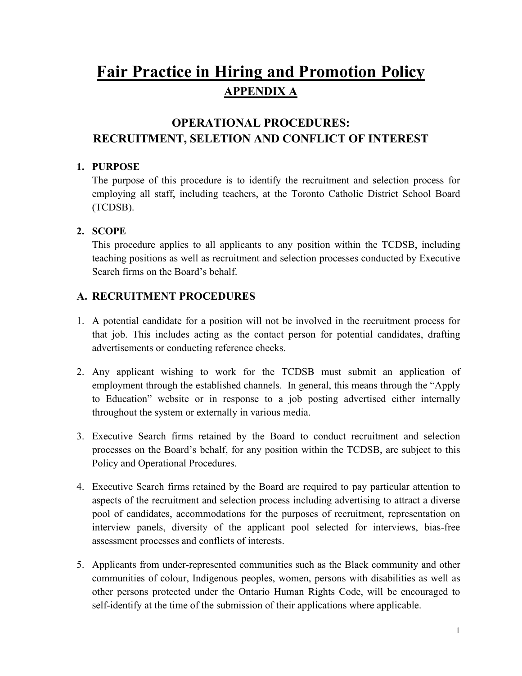## **Fair Practice in Hiring and Promotion Policy APPENDIX A**

# **RECRUITMENT, SELETION AND CONFLICT OF INTEREST 1. PURPOSE OPERATIONAL PROCEDURES:**

 employing all staff, including teachers, at the Toronto Catholic District School Board The purpose of this procedure is to identify the recruitment and selection process for (TCDSB).

#### **2. SCOPE**

 This procedure applies to all applicants to any position within the TCDSB, including Search firms on the Board's behalf. teaching positions as well as recruitment and selection processes conducted by Executive

### **A. RECRUITMENT PROCEDURES**

- 1. A potential candidate for a position will not be involved in the recruitment process for that job. This includes acting as the contact person for potential candidates, drafting advertisements or conducting reference checks.
- 2. Any applicant wishing to work for the TCDSB must submit an application of employment through the established channels. In general, this means through the "Apply to Education" website or in response to a job posting advertised either internally throughout the system or externally in various media.
- 3. Executive Search firms retained by the Board to conduct recruitment and selection processes on the Board's behalf, for any position within the TCDSB, are subject to this Policy and Operational Procedures.
- 4. Executive Search firms retained by the Board are required to pay particular attention to aspects of the recruitment and selection process including advertising to attract a diverse pool of candidates, accommodations for the purposes of recruitment, representation on interview panels, diversity of the applicant pool selected for interviews, bias-free assessment processes and conflicts of interests.
- communities of colour, Indigenous peoples, women, persons with disabilities as well as other persons protected under the Ontario Human Rights Code, will be encouraged to self-identify at the time of the submission of their applications where applicable.<br>1 5. Applicants from under-represented communities such as the Black community and other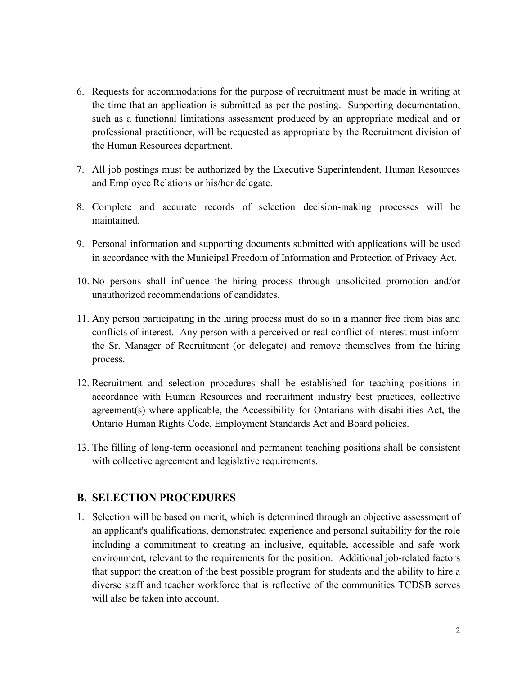- 6. Requests for accommodations for the purpose of recruitment must be made in writing at the time that an application is submitted as per the posting. Supporting documentation, such as a functional limitations assessment produced by an appropriate medical and or professional practitioner, will be requested as appropriate by the Recruitment division of the Human Resources department.
- and Employee Relations or his/her delegate. 7. All job postings must be authorized by the Executive Superintendent, Human Resources
- 8. Complete and accurate records of selection decision-making processes will be maintained.
- 9. Personal information and supporting documents submitted with applications will be used in accordance with the Municipal Freedom of Information and Protection of Privacy Act.
- 10. No persons shall influence the hiring process through unsolicited promotion and/or unauthorized recommendations of candidates.
- process. 11. Any person participating in the hiring process must do so in a manner free from bias and conflicts of interest. Any person with a perceived or real conflict of interest must inform the Sr. Manager of Recruitment (or delegate) and remove themselves from the hiring
- accordance with Human Resources and recruitment industry best practices, collective 12. Recruitment and selection procedures shall be established for teaching positions in agreement(s) where applicable, the Accessibility for Ontarians with disabilities Act, the Ontario Human Rights Code, Employment Standards Act and Board policies.
- 13. The filling of long-term occasional and permanent teaching positions shall be consistent with collective agreement and legislative requirements.

#### **B. SELECTION PROCEDURES**

 an applicant's qualifications, demonstrated experience and personal suitability for the role including a commitment to creating an inclusive, equitable, accessible and safe work 1. Selection will be based on merit, which is determined through an objective assessment of environment, relevant to the requirements for the position. Additional job-related factors that support the creation of the best possible program for students and the ability to hire a diverse staff and teacher workforce that is reflective of the communities TCDSB serves will also be taken into account.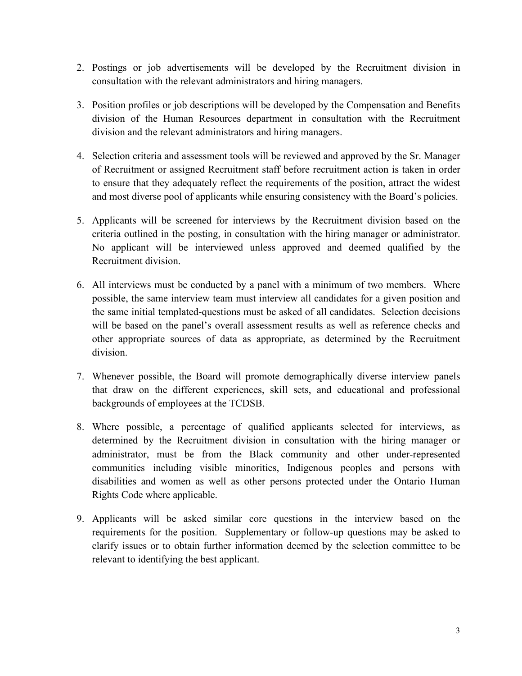- consultation with the relevant administrators and hiring managers. 2. Postings or job advertisements will be developed by the Recruitment division in
- 3. Position profiles or job descriptions will be developed by the Compensation and Benefits division of the Human Resources department in consultation with the Recruitment division and the relevant administrators and hiring managers.
- 4. Selection criteria and assessment tools will be reviewed and approved by the Sr. Manager to ensure that they adequately reflect the requirements of the position, attract the widest and most diverse pool of applicants while ensuring consistency with the Board's policies. of Recruitment or assigned Recruitment staff before recruitment action is taken in order
- 5. Applicants will be screened for interviews by the Recruitment division based on the criteria outlined in the posting, in consultation with the hiring manager or administrator. No applicant will be interviewed unless approved and deemed qualified by the Recruitment division.
- the same initial templated-questions must be asked of all candidates. Selection decisions division. 6. All interviews must be conducted by a panel with a minimum of two members. Where possible, the same interview team must interview all candidates for a given position and will be based on the panel's overall assessment results as well as reference checks and other appropriate sources of data as appropriate, as determined by the Recruitment
- 7. Whenever possible, the Board will promote demographically diverse interview panels that draw on the different experiences, skill sets, and educational and professional backgrounds of employees at the TCDSB.
- administrator, must be from the Black community and other under-represented Rights Code where applicable. 8. Where possible, a percentage of qualified applicants selected for interviews, as determined by the Recruitment division in consultation with the hiring manager or communities including visible minorities, Indigenous peoples and persons with disabilities and women as well as other persons protected under the Ontario Human
- Rights Code where applicable.<br>9. Applicants will be asked similar core questions in the interview based on the requirements for the position. Supplementary or follow-up questions may be asked to clarify issues or to obtain further information deemed by the selection committee to be relevant to identifying the best applicant.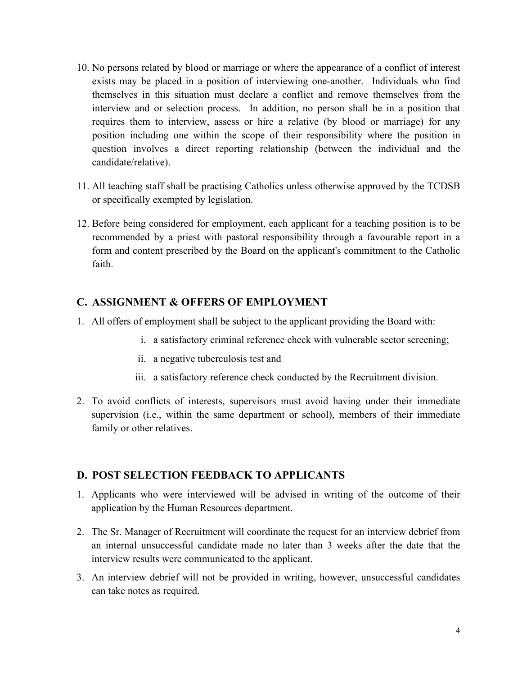- interview and or selection process. In addition, no person shall be in a position that 10. No persons related by blood or marriage or where the appearance of a conflict of interest exists may be placed in a position of interviewing one-another. Individuals who find themselves in this situation must declare a conflict and remove themselves from the requires them to interview, assess or hire a relative (by blood or marriage) for any position including one within the scope of their responsibility where the position in question involves a direct reporting relationship (between the individual and the candidate/relative).
- 11. All teaching staff shall be practising Catholics unless otherwise approved by the TCDSB or specifically exempted by legislation.
- 12. Before being considered for employment, each applicant for a teaching position is to be recommended by a priest with pastoral responsibility through a favourable report in a form and content prescribed by the Board on the applicant's commitment to the Catholic faith.

#### **C. ASSIGNMENT & OFFERS OF EMPLOYMENT**

- 1. All offers of employment shall be subject to the applicant providing the Board with:
	- i. a satisfactory criminal reference check with vulnerable sector screening;
	- ii. a negative tuberculosis test and
	- iii. a satisfactory reference check conducted by the Recruitment division.
- 2. To avoid conflicts of interests, supervisors must avoid having under their immediate supervision (i.e., within the same department or school), members of their immediate family or other relatives.

#### **D. POST SELECTION FEEDBACK TO APPLICANTS**

- 1. Applicants who were interviewed will be advised in writing of the outcome of their application by the Human Resources department.
- 2. The Sr. Manager of Recruitment will coordinate the request for an interview debrief from an internal unsuccessful candidate made no later than 3 weeks after the date that the interview results were communicated to the applicant.
- 3. An interview debrief will not be provided in writing, however, unsuccessful candidates can take notes as required.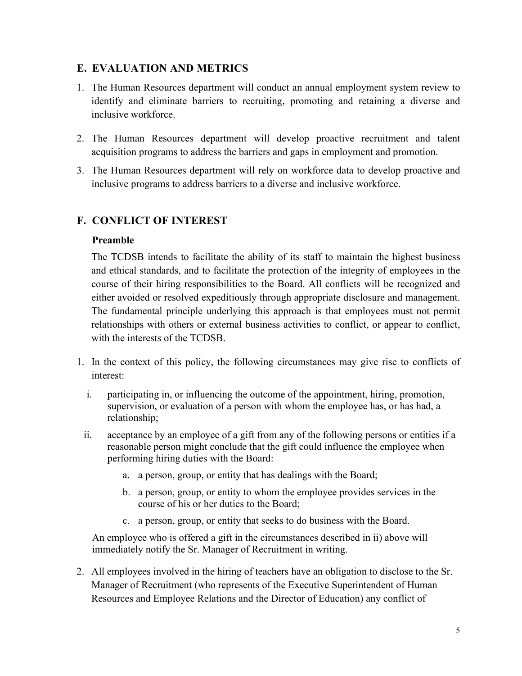#### **E. EVALUATION AND METRICS**

- 1. The Human Resources department will conduct an annual employment system review to identify and eliminate barriers to recruiting, promoting and retaining a diverse and inclusive workforce.
- 2. The Human Resources department will develop proactive recruitment and talent acquisition programs to address the barriers and gaps in employment and promotion.
- 3. The Human Resources department will rely on workforce data to develop proactive and inclusive programs to address barriers to a diverse and inclusive workforce.

### **F. CONFLICT OF INTEREST**

#### **Preamble**

The TCDSB intends to facilitate the ability of its staff to maintain the highest business and ethical standards, and to facilitate the protection of the integrity of employees in the course of their hiring responsibilities to the Board. All conflicts will be recognized and either avoided or resolved expeditiously through appropriate disclosure and management. The fundamental principle underlying this approach is that employees must not permit relationships with others or external business activities to conflict, or appear to conflict, with the interests of the TCDSB.

- 1. In the context of this policy, the following circumstances may give rise to conflicts of interest:
	- supervision, or evaluation of a person with whom the employee has, or has had, a i. participating in, or influencing the outcome of the appointment, hiring, promotion, relationship;
	- ii. acceptance by an employee of a gift from any of the following persons or entities if a reasonable person might conclude that the gift could influence the employee when performing hiring duties with the Board:
		- a. a person, group, or entity that has dealings with the Board;
		- b. a person, group, or entity to whom the employee provides services in the course of his or her duties to the Board;
		- c. a person, group, or entity that seeks to do business with the Board.

 An employee who is offered a gift in the circumstances described in ii) above will immediately notify the Sr. Manager of Recruitment in writing.

 Manager of Recruitment (who represents of the Executive Superintendent of Human 2. All employees involved in the hiring of teachers have an obligation to disclose to the Sr. Resources and Employee Relations and the Director of Education) any conflict of